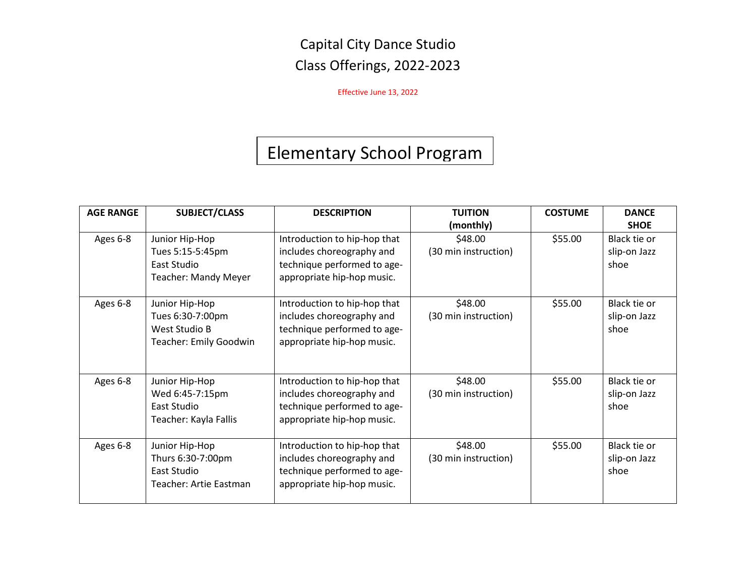Effective June 13, 2022

# Elementary School Program

| <b>AGE RANGE</b> | <b>SUBJECT/CLASS</b>                                                             | <b>DESCRIPTION</b>                                                                                                     | <b>TUITION</b><br>(monthly)     | <b>COSTUME</b> | <b>DANCE</b><br><b>SHOE</b>          |
|------------------|----------------------------------------------------------------------------------|------------------------------------------------------------------------------------------------------------------------|---------------------------------|----------------|--------------------------------------|
| Ages 6-8         | Junior Hip-Hop<br>Tues 5:15-5:45pm<br>East Studio<br><b>Teacher: Mandy Meyer</b> | Introduction to hip-hop that<br>includes choreography and<br>technique performed to age-<br>appropriate hip-hop music. | \$48.00<br>(30 min instruction) | \$55.00        | Black tie or<br>slip-on Jazz<br>shoe |
| Ages 6-8         | Junior Hip-Hop<br>Tues 6:30-7:00pm<br>West Studio B<br>Teacher: Emily Goodwin    | Introduction to hip-hop that<br>includes choreography and<br>technique performed to age-<br>appropriate hip-hop music. | \$48.00<br>(30 min instruction) | \$55.00        | Black tie or<br>slip-on Jazz<br>shoe |
| Ages 6-8         | Junior Hip-Hop<br>Wed 6:45-7:15pm<br>East Studio<br>Teacher: Kayla Fallis        | Introduction to hip-hop that<br>includes choreography and<br>technique performed to age-<br>appropriate hip-hop music. | \$48.00<br>(30 min instruction) | \$55.00        | Black tie or<br>slip-on Jazz<br>shoe |
| Ages 6-8         | Junior Hip-Hop<br>Thurs 6:30-7:00pm<br>East Studio<br>Teacher: Artie Eastman     | Introduction to hip-hop that<br>includes choreography and<br>technique performed to age-<br>appropriate hip-hop music. | \$48.00<br>(30 min instruction) | \$55.00        | Black tie or<br>slip-on Jazz<br>shoe |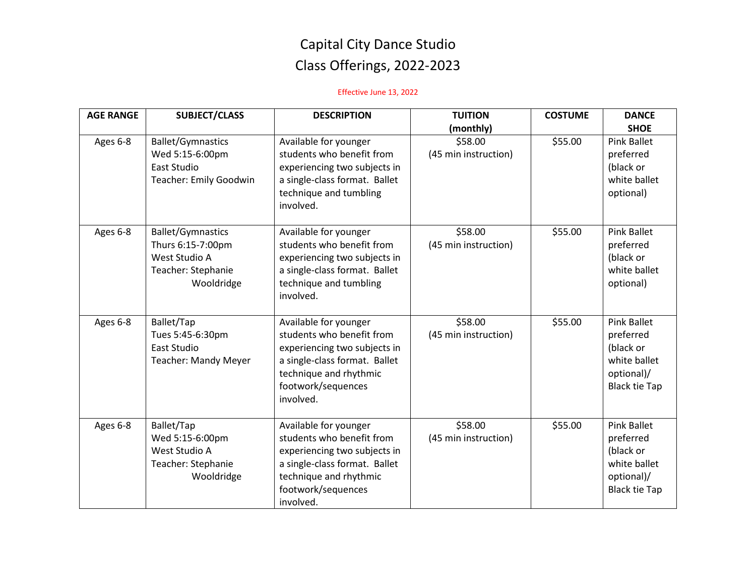| <b>AGE RANGE</b> | <b>SUBJECT/CLASS</b>                                                                               | <b>DESCRIPTION</b>                                                                                                                                                               | <b>TUITION</b><br>(monthly)     | <b>COSTUME</b> | <b>DANCE</b><br><b>SHOE</b>                                                                        |
|------------------|----------------------------------------------------------------------------------------------------|----------------------------------------------------------------------------------------------------------------------------------------------------------------------------------|---------------------------------|----------------|----------------------------------------------------------------------------------------------------|
| Ages 6-8         | <b>Ballet/Gymnastics</b><br>Wed 5:15-6:00pm<br>East Studio<br>Teacher: Emily Goodwin               | Available for younger<br>students who benefit from<br>experiencing two subjects in<br>a single-class format. Ballet<br>technique and tumbling<br>involved.                       | \$58.00<br>(45 min instruction) | \$55.00        | <b>Pink Ballet</b><br>preferred<br>(black or<br>white ballet<br>optional)                          |
| Ages 6-8         | <b>Ballet/Gymnastics</b><br>Thurs 6:15-7:00pm<br>West Studio A<br>Teacher: Stephanie<br>Wooldridge | Available for younger<br>students who benefit from<br>experiencing two subjects in<br>a single-class format. Ballet<br>technique and tumbling<br>involved.                       | \$58.00<br>(45 min instruction) | \$55.00        | <b>Pink Ballet</b><br>preferred<br>(black or<br>white ballet<br>optional)                          |
| Ages 6-8         | Ballet/Tap<br>Tues 5:45-6:30pm<br>East Studio<br><b>Teacher: Mandy Meyer</b>                       | Available for younger<br>students who benefit from<br>experiencing two subjects in<br>a single-class format. Ballet<br>technique and rhythmic<br>footwork/sequences<br>involved. | \$58.00<br>(45 min instruction) | \$55.00        | <b>Pink Ballet</b><br>preferred<br>(black or<br>white ballet<br>optional)/<br><b>Black tie Tap</b> |
| Ages 6-8         | Ballet/Tap<br>Wed 5:15-6:00pm<br>West Studio A<br>Teacher: Stephanie<br>Wooldridge                 | Available for younger<br>students who benefit from<br>experiencing two subjects in<br>a single-class format. Ballet<br>technique and rhythmic<br>footwork/sequences<br>involved. | \$58.00<br>(45 min instruction) | \$55.00        | <b>Pink Ballet</b><br>preferred<br>(black or<br>white ballet<br>optional)/<br><b>Black tie Tap</b> |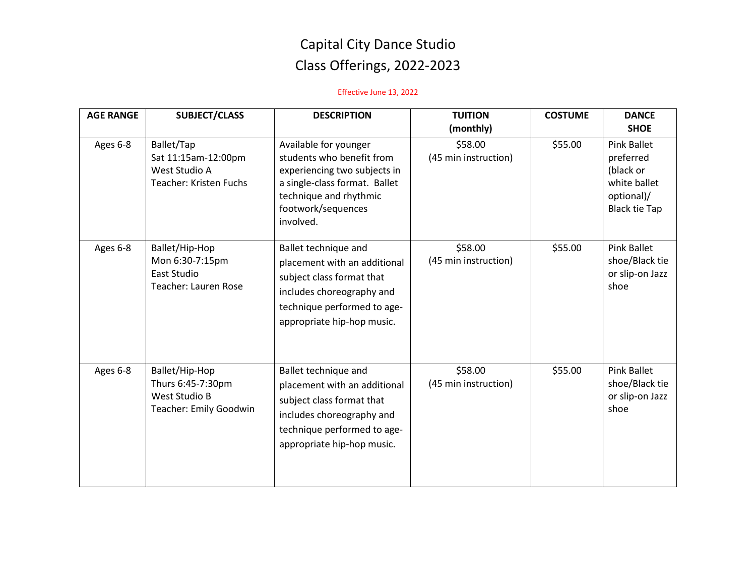| <b>AGE RANGE</b> | <b>SUBJECT/CLASS</b>                                                                  | <b>DESCRIPTION</b>                                                                                                                                                               | <b>TUITION</b><br>(monthly)     | <b>COSTUME</b> | <b>DANCE</b><br><b>SHOE</b>                                                                 |
|------------------|---------------------------------------------------------------------------------------|----------------------------------------------------------------------------------------------------------------------------------------------------------------------------------|---------------------------------|----------------|---------------------------------------------------------------------------------------------|
| Ages 6-8         | Ballet/Tap<br>Sat 11:15am-12:00pm<br>West Studio A<br><b>Teacher: Kristen Fuchs</b>   | Available for younger<br>students who benefit from<br>experiencing two subjects in<br>a single-class format. Ballet<br>technique and rhythmic<br>footwork/sequences<br>involved. | \$58.00<br>(45 min instruction) | \$55.00        | Pink Ballet<br>preferred<br>(black or<br>white ballet<br>optional)/<br><b>Black tie Tap</b> |
| Ages 6-8         | Ballet/Hip-Hop<br>Mon 6:30-7:15pm<br>East Studio<br><b>Teacher: Lauren Rose</b>       | Ballet technique and<br>placement with an additional<br>subject class format that<br>includes choreography and<br>technique performed to age-<br>appropriate hip-hop music.      | \$58.00<br>(45 min instruction) | \$55.00        | <b>Pink Ballet</b><br>shoe/Black tie<br>or slip-on Jazz<br>shoe                             |
| Ages 6-8         | Ballet/Hip-Hop<br>Thurs 6:45-7:30pm<br>West Studio B<br><b>Teacher: Emily Goodwin</b> | Ballet technique and<br>placement with an additional<br>subject class format that<br>includes choreography and<br>technique performed to age-<br>appropriate hip-hop music.      | \$58.00<br>(45 min instruction) | \$55.00        | <b>Pink Ballet</b><br>shoe/Black tie<br>or slip-on Jazz<br>shoe                             |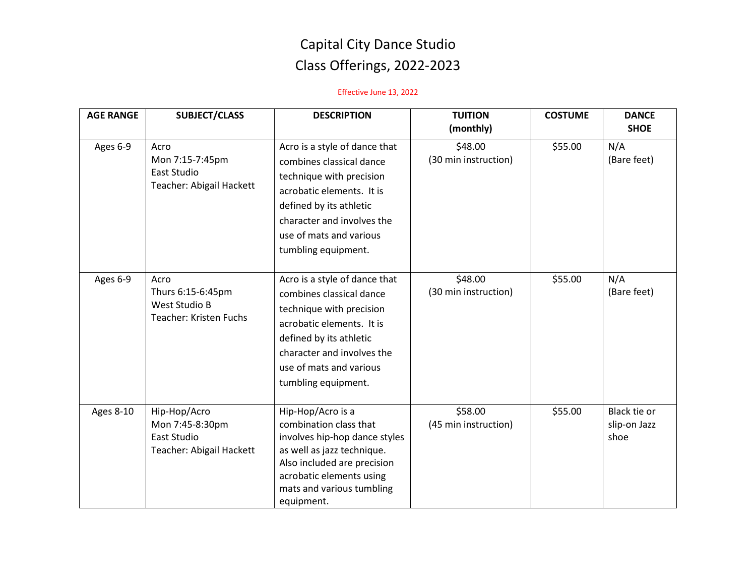| <b>AGE RANGE</b> | <b>SUBJECT/CLASS</b>                                                        | <b>DESCRIPTION</b>                                                                                                                                                                                                            | <b>TUITION</b><br>(monthly)     | <b>COSTUME</b> | <b>DANCE</b><br><b>SHOE</b>          |
|------------------|-----------------------------------------------------------------------------|-------------------------------------------------------------------------------------------------------------------------------------------------------------------------------------------------------------------------------|---------------------------------|----------------|--------------------------------------|
| Ages 6-9         | Acro<br>Mon 7:15-7:45pm<br>East Studio<br>Teacher: Abigail Hackett          | Acro is a style of dance that<br>combines classical dance<br>technique with precision<br>acrobatic elements. It is<br>defined by its athletic<br>character and involves the<br>use of mats and various<br>tumbling equipment. | \$48.00<br>(30 min instruction) | \$55.00        | N/A<br>(Bare feet)                   |
| Ages 6-9         | Acro<br>Thurs 6:15-6:45pm<br>West Studio B<br><b>Teacher: Kristen Fuchs</b> | Acro is a style of dance that<br>combines classical dance<br>technique with precision<br>acrobatic elements. It is<br>defined by its athletic<br>character and involves the<br>use of mats and various<br>tumbling equipment. | \$48.00<br>(30 min instruction) | \$55.00        | N/A<br>(Bare feet)                   |
| <b>Ages 8-10</b> | Hip-Hop/Acro<br>Mon 7:45-8:30pm<br>East Studio<br>Teacher: Abigail Hackett  | Hip-Hop/Acro is a<br>combination class that<br>involves hip-hop dance styles<br>as well as jazz technique.<br>Also included are precision<br>acrobatic elements using<br>mats and various tumbling<br>equipment.              | \$58.00<br>(45 min instruction) | \$55.00        | Black tie or<br>slip-on Jazz<br>shoe |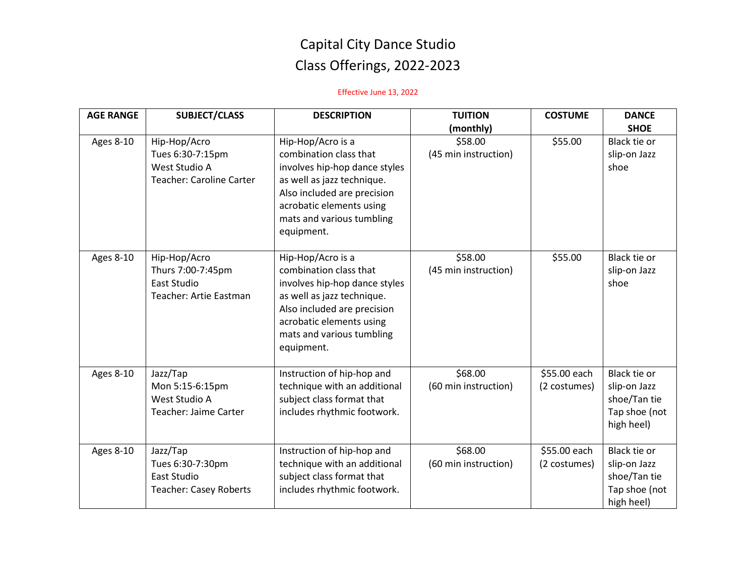| <b>AGE RANGE</b> | <b>SUBJECT/CLASS</b>                                                                 | <b>DESCRIPTION</b>                                                                                                                                                                                               | <b>TUITION</b>                  | <b>COSTUME</b>               | <b>DANCE</b>                                                                |
|------------------|--------------------------------------------------------------------------------------|------------------------------------------------------------------------------------------------------------------------------------------------------------------------------------------------------------------|---------------------------------|------------------------------|-----------------------------------------------------------------------------|
|                  |                                                                                      |                                                                                                                                                                                                                  | (monthly)                       |                              | <b>SHOE</b>                                                                 |
| Ages 8-10        | Hip-Hop/Acro<br>Tues 6:30-7:15pm<br>West Studio A<br><b>Teacher: Caroline Carter</b> | Hip-Hop/Acro is a<br>combination class that<br>involves hip-hop dance styles<br>as well as jazz technique.<br>Also included are precision<br>acrobatic elements using<br>mats and various tumbling<br>equipment. | \$58.00<br>(45 min instruction) | \$55.00                      | Black tie or<br>slip-on Jazz<br>shoe                                        |
| <b>Ages 8-10</b> | Hip-Hop/Acro<br>Thurs 7:00-7:45pm<br>East Studio<br>Teacher: Artie Eastman           | Hip-Hop/Acro is a<br>combination class that<br>involves hip-hop dance styles<br>as well as jazz technique.<br>Also included are precision<br>acrobatic elements using<br>mats and various tumbling<br>equipment. | \$58.00<br>(45 min instruction) | \$55.00                      | Black tie or<br>slip-on Jazz<br>shoe                                        |
| Ages 8-10        | Jazz/Tap<br>Mon 5:15-6:15pm<br>West Studio A<br>Teacher: Jaime Carter                | Instruction of hip-hop and<br>technique with an additional<br>subject class format that<br>includes rhythmic footwork.                                                                                           | \$68.00<br>(60 min instruction) | \$55.00 each<br>(2 costumes) | Black tie or<br>slip-on Jazz<br>shoe/Tan tie<br>Tap shoe (not<br>high heel) |
| <b>Ages 8-10</b> | Jazz/Tap<br>Tues 6:30-7:30pm<br>East Studio<br><b>Teacher: Casey Roberts</b>         | Instruction of hip-hop and<br>technique with an additional<br>subject class format that<br>includes rhythmic footwork.                                                                                           | \$68.00<br>(60 min instruction) | \$55.00 each<br>(2 costumes) | Black tie or<br>slip-on Jazz<br>shoe/Tan tie<br>Tap shoe (not<br>high heel) |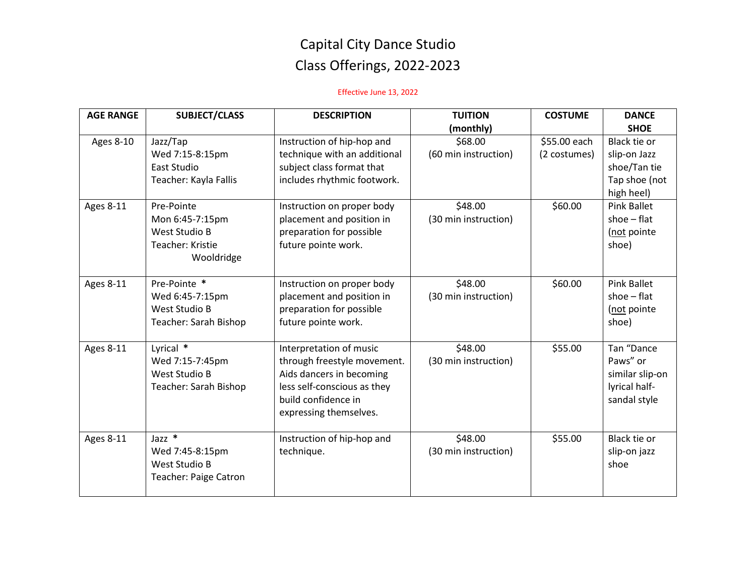| <b>AGE RANGE</b> | <b>SUBJECT/CLASS</b>         | <b>DESCRIPTION</b>           | <b>TUITION</b>       | <b>COSTUME</b> | <b>DANCE</b>       |
|------------------|------------------------------|------------------------------|----------------------|----------------|--------------------|
|                  |                              |                              | (monthly)            |                | <b>SHOE</b>        |
| Ages 8-10        | Jazz/Tap                     | Instruction of hip-hop and   | \$68.00              | \$55.00 each   | Black tie or       |
|                  | Wed 7:15-8:15pm              | technique with an additional | (60 min instruction) | (2 costumes)   | slip-on Jazz       |
|                  | East Studio                  | subject class format that    |                      |                | shoe/Tan tie       |
|                  | Teacher: Kayla Fallis        | includes rhythmic footwork.  |                      |                | Tap shoe (not      |
|                  |                              |                              |                      |                | high heel)         |
| <b>Ages 8-11</b> | Pre-Pointe                   | Instruction on proper body   | \$48.00              | \$60.00        | <b>Pink Ballet</b> |
|                  | Mon 6:45-7:15pm              | placement and position in    | (30 min instruction) |                | shoe $-$ flat      |
|                  | West Studio B                | preparation for possible     |                      |                | (not pointe        |
|                  | Teacher: Kristie             | future pointe work.          |                      |                | shoe)              |
|                  | Wooldridge                   |                              |                      |                |                    |
|                  |                              |                              |                      |                |                    |
| <b>Ages 8-11</b> | Pre-Pointe *                 | Instruction on proper body   | \$48.00              | \$60.00        | <b>Pink Ballet</b> |
|                  | Wed 6:45-7:15pm              | placement and position in    | (30 min instruction) |                | shoe $-$ flat      |
|                  | <b>West Studio B</b>         | preparation for possible     |                      |                | (not pointe        |
|                  | Teacher: Sarah Bishop        | future pointe work.          |                      |                | shoe)              |
|                  |                              |                              |                      |                |                    |
| <b>Ages 8-11</b> | Lyrical *                    | Interpretation of music      | \$48.00              | \$55.00        | Tan "Dance         |
|                  | Wed 7:15-7:45pm              | through freestyle movement.  | (30 min instruction) |                | Paws" or           |
|                  | <b>West Studio B</b>         | Aids dancers in becoming     |                      |                | similar slip-on    |
|                  | Teacher: Sarah Bishop        | less self-conscious as they  |                      |                | lyrical half-      |
|                  |                              | build confidence in          |                      |                | sandal style       |
|                  |                              | expressing themselves.       |                      |                |                    |
|                  |                              |                              |                      |                |                    |
| <b>Ages 8-11</b> | Jazz *                       | Instruction of hip-hop and   | \$48.00              | \$55.00        | Black tie or       |
|                  | Wed 7:45-8:15pm              | technique.                   | (30 min instruction) |                | slip-on jazz       |
|                  | West Studio B                |                              |                      |                | shoe               |
|                  | <b>Teacher: Paige Catron</b> |                              |                      |                |                    |
|                  |                              |                              |                      |                |                    |